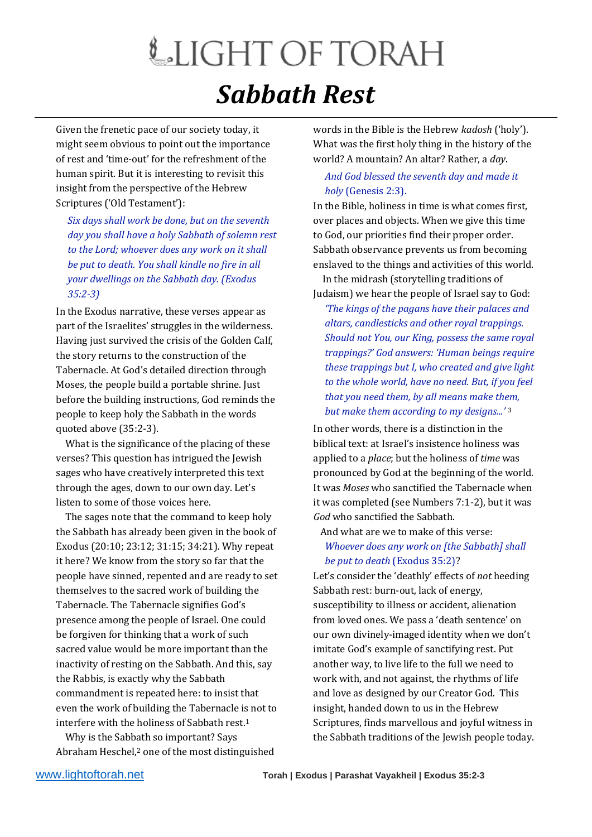## LIGHT OF TORAH *Sabbath Rest*

Given the frenetic pace of our society today, it might seem obvious to point out the importance of rest and 'time-out' for the refreshment of the human spirit. But it is interesting to revisit this insight from the perspective of the Hebrew Scriptures ('Old Testament'):

*Six days shall work be done, but on the seventh day you shall have a holy Sabbath of solemn rest to the Lord; whoever does any work on it shall be put to death. You shall kindle no fire in all your dwellings on the Sabbath day. (Exodus 35:2-3)*

In the Exodus narrative, these verses appear as part of the Israelites' struggles in the wilderness. Having just survived the crisis of the Golden Calf, the story returns to the construction of the Tabernacle. At God's detailed direction through Moses, the people build a portable shrine. Just before the building instructions, God reminds the people to keep holy the Sabbath in the words quoted above (35:2-3).

 What is the significance of the placing of these verses? This question has intrigued the Jewish sages who have creatively interpreted this text through the ages, down to our own day. Let's listen to some of those voices here.

 The sages note that the command to keep holy the Sabbath has already been given in the book of Exodus (20:10; 23:12; 31:15; 34:21). Why repeat it here? We know from the story so far that the people have sinned, repented and are ready to set themselves to the sacred work of building the Tabernacle. The Tabernacle signifies God's presence among the people of Israel. One could be forgiven for thinking that a work of such sacred value would be more important than the inactivity of resting on the Sabbath. And this, say the Rabbis, is exactly why the Sabbath commandment is repeated here: to insist that even the work of building the Tabernacle is not to interfere with the holiness of Sabbath rest.<sup>1</sup>

 Why is the Sabbath so important? Says Abraham Heschel,<sup>2</sup> one of the most distinguished words in the Bible is the Hebrew *kadosh* ('holy'). What was the first holy thing in the history of the world? A mountain? An altar? Rather, a *day*.

## *And God blessed the seventh day and made it holy* (Genesis 2:3).

In the Bible, holiness in time is what comes first, over places and objects. When we give this time to God, our priorities find their proper order. Sabbath observance prevents us from becoming enslaved to the things and activities of this world. In the midrash (storytelling traditions of

Judaism) we hear the people of Israel say to God:

*'The kings of the pagans have their palaces and altars, candlesticks and other royal trappings. Should not You, our King, possess the same royal trappings?' God answers: 'Human beings require these trappings but I, who created and give light to the whole world, have no need. But, if you feel that you need them, by all means make them, but make them according to my designs...'* <sup>3</sup>

In other words, there is a distinction in the biblical text: at Israel's insistence holiness was applied to a *place*; but the holiness of *time* was pronounced by God at the beginning of the world. It was *Moses* who sanctified the Tabernacle when it was completed (see Numbers 7:1-2), but it was *God* who sanctified the Sabbath.

And what are we to make of this verse:

## *Whoever does any work on [the Sabbath] shall be put to death* (Exodus 35:2)?

Let's consider the 'deathly' effects of *not* heeding Sabbath rest: burn-out, lack of energy, susceptibility to illness or accident, alienation from loved ones. We pass a 'death sentence' on our own divinely-imaged identity when we don't imitate God's example of sanctifying rest. Put another way, to live life to the full we need to work with, and not against, the rhythms of life and love as designed by our Creator God. This insight, handed down to us in the Hebrew Scriptures, finds marvellous and joyful witness in the Sabbath traditions of the Jewish people today.